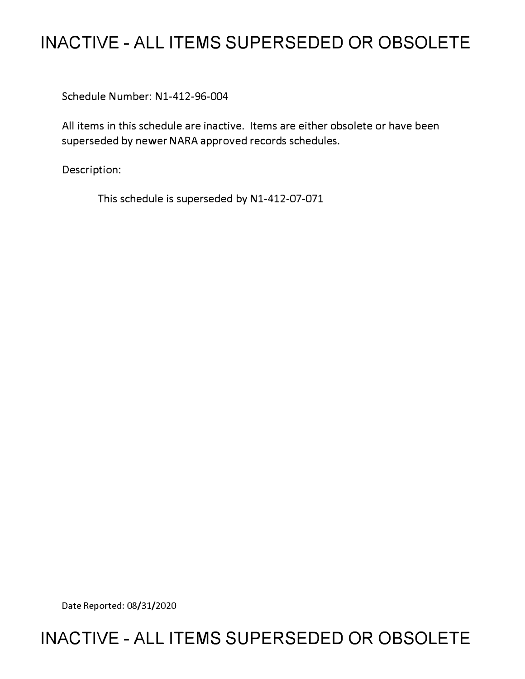# **INACTIVE - ALL ITEMS SUPERSEDED OR OBSOLETE**

Schedule Number: Nl-412-96-004

All items in this schedule are inactive. Items are either obsolete or have been superseded by newer NARA approved records schedules.

Description:

This schedule is superseded by N1-412-07-071

Date Reported: 08/31/2020

# **INACTIVE - ALL ITEMS SUPERSEDED OR OBSOLETE**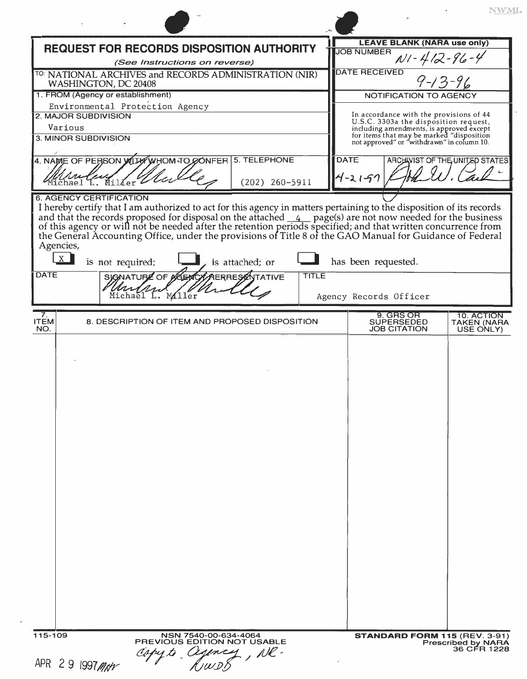| <b>REQUEST FOR RECORDS DISPOSITION AUTHORITY</b>                                                                                                                                                                                                                                                                                                                                    | <b>LEAVE BLANK (NARA use only)</b><br><b>JOB NUMBER</b>                                                                             |
|-------------------------------------------------------------------------------------------------------------------------------------------------------------------------------------------------------------------------------------------------------------------------------------------------------------------------------------------------------------------------------------|-------------------------------------------------------------------------------------------------------------------------------------|
| (See Instructions on reverse)                                                                                                                                                                                                                                                                                                                                                       | $N1 - 412 - 96 - 4$                                                                                                                 |
| TO: NATIONAL ARCHIVES and RECORDS ADMINISTRATION (NIR)<br>WASHINGTON, DC 20408                                                                                                                                                                                                                                                                                                      | <b>DATE RECEIVED</b><br>$9 - 13 - 96$                                                                                               |
| 1. FROM (Agency or establishment)                                                                                                                                                                                                                                                                                                                                                   | NOTIFICATION TO AGENCY                                                                                                              |
| Environmental Protection Agency<br>2. MAJOR SUBDIVISION                                                                                                                                                                                                                                                                                                                             | In accordance with the provisions of 44                                                                                             |
| Various                                                                                                                                                                                                                                                                                                                                                                             | U.S.C. 3303a the disposition request,                                                                                               |
| 3. MINOR SUBDIVISION                                                                                                                                                                                                                                                                                                                                                                | including amendments, is approved except<br>for items that may be marked "disposition<br>not approved" or "withdrawn" in column 10. |
| 4. NAME OF PERSON WITH WHOM TO CONFER 5. TELEPHONE<br>$(202)$ 260-5911<br>đer                                                                                                                                                                                                                                                                                                       | <b>DATE</b><br>ARCHIVIST OF THE UNITED STATES<br>$4 - 21 - 77$                                                                      |
| <b>6. AGENCY CERTIFICATION</b>                                                                                                                                                                                                                                                                                                                                                      |                                                                                                                                     |
| and that the records proposed for disposal on the attached 4 page(s) are not now needed for the business of this agency or will not be needed after the retention periods specified; and that written concurrence from the Gen<br>Agencies,<br>X<br>is not required;<br>is attached; or<br><b>DATE</b><br><b>SIGNATURE OF A</b><br><b>AERRESZNTATIVE</b><br>Un<br>Michael L. Miller | has been requested.<br>TITLE<br>Agency Records Officer                                                                              |
| 7.                                                                                                                                                                                                                                                                                                                                                                                  | 9. GRS OR<br>10. ACTION                                                                                                             |
| 8. DESCRIPTION OF ITEM AND PROPOSED DISPOSITION<br><b>ITEM</b><br>NO.                                                                                                                                                                                                                                                                                                               | <b>SUPERSEDED</b><br><b>TAKEN (NARA</b><br><b>JOB CITATION</b><br>USE ONLY)                                                         |
|                                                                                                                                                                                                                                                                                                                                                                                     |                                                                                                                                     |
| 115-109<br>NSN 7540-00-634-4064<br>PREVIOUS EDITION NOT USABLE<br>Cejency, NR.                                                                                                                                                                                                                                                                                                      | STANDARD FORM 115 (REV. 3-91)<br><b>Prescribed by NARA</b><br>36 CFR 1228                                                           |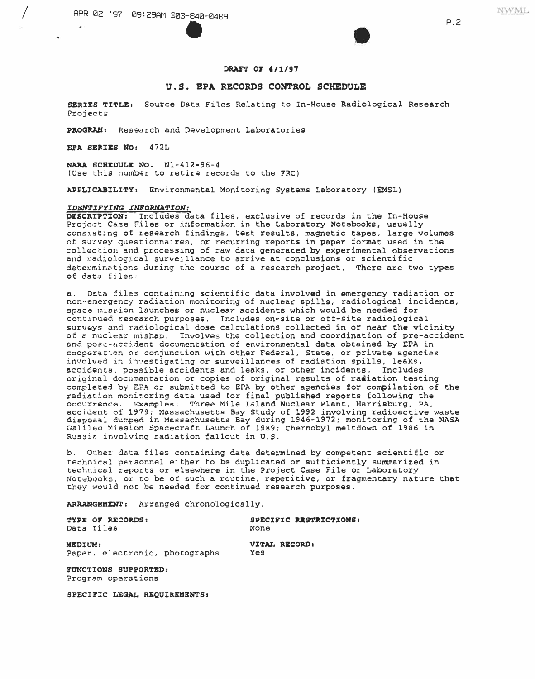

**NWML** 

#### DRAFT OF 4/1/97

#### U.S. EPA RECORDS CONTROL SCHEDULE

SERIES TITLE: Source Data Files Relating to In-House Radiological Research Projects

PROGRAM: Research and Development Laboratories

EPA SERIES NO: 472L

NARA SCHEDULE NO. N1-412-96-4 (Use this number to retire records to the FRC)

APPLICABILITY: Environmental Monitoring Systems Laboratory (EMSL)

#### IDENTIFYING INFORMATION:

DESCRIPTION: Includes data files, exclusive of records in the In-House Project Case Files or information in the Laboratory Notebooks, usually consisting of research findings, test results, magnetic tapes, large volumes of survey questionnaires, or recurring reports in paper format used in the collection and processing of raw data generated by experimental observations and radiological surveillance to arrive at conclusions or scientific determinations during the course of a research project. There are two types of data files:

a. Data files containing scientific data involved in emergency radiation or non-emergency radiation monitoring of nuclear spills, radiological incidents, space mission launches or nuclear accidents which would be needed for continued research purposes. Includes on-site or off-site radiological surveys and radiological dose calculations collected in or near the vicinity of a nuclear mishap. Involves the collection and coordination of pre-accident and post-accident documentation of environmental data obtained by EPA in cooperation or conjunction with other Federal, State, or private agencies involved in investigating or surveillances of radiation spills, leaks, accidents, possible accidents and leaks, or other incidents. Includes original documentation or copies of original results of radiation testing completed by EPA or submitted to EPA by other agencies for compilation of the radiation monitoring data used for final published reports following the occurrence. Examples: Three Mile Island Nuclear Plant, Harrisburg, PA, accident of 1979; Massachusetts Bay Study of 1992 involving radioactive waste disposal dumped in Massachusetts Bay during 1946-1972; monitoring of the NASA Galileo Mission Spacecraft Launch of 1989; Chernobyl meltdown of 1986 in Russia involving radiation fallout in U.S.

Other data files containing data determined by competent scientific or technical personnel either to be duplicated or sufficiently summarized in technical reports or elsewhere in the Project Case File or Laboratory Notebooks, or to be of such a routine, repetitive, or fragmentary nature that they would not be needed for continued research purposes.

Yes

ARRANGEMENT: Arranged chronologically.

TYPE OF RECORDS: Data files

SPECIFIC RESTRICTIONS: None

VITAL RECORD:

MEDIUM: Paper, electronic, photographs

FUNCTIONS SUPPORTED: Program operations

SPECIFIC LEGAL REQUIREMENTS:

 $P.2$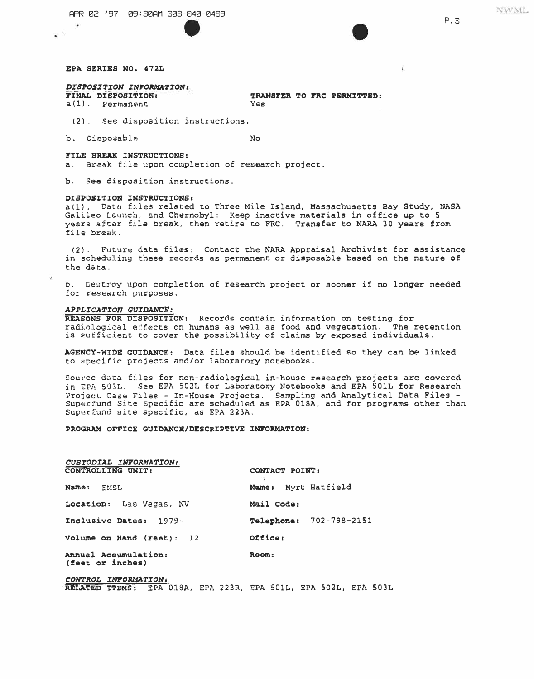APR 02 '97 09:30AM 303-840-0489



 $P.3$ 

### EPA SERIES NO. 472L

### DISPOSITION INFORMATION:

FINAL DISPOSITION: a(1). Permanent

TRANSFER TO FRC PERMITTED: Yes

(2). See disposition instructions.

b. Disposable

 $N<sub>0</sub>$ 

FILE BREAK INSTRUCTIONS: a. Break file upon completion of research project.

b. See disposition instructions.

#### DISPOSITION INSTRUCTIONS:

a(1). Data files related to Three Mile Island, Massachusetts Bay Study, NASA Galileo Launch, and Chernobyl: Keep inactive materials in office up to 5 years after file break, then retire to FRC. Transfer to NARA 30 years from file break.

(2). Future data files: Contact the NARA Appraisal Archivist for assistance in scheduling these records as permanent or disposable based on the nature of the data.

b. Destroy upon completion of research project or sooner if no longer needed for research purposes.

#### APPLICATION GUIDANCE:

REASONS FOR DISPOSITION: Records contain information on testing for radiological effects on humans as well as food and vegetation. The retention is sufficient to cover the possibility of claims by exposed individuals.

AGENCY-WIDE GUIDANCE: Data files should be identified so they can be linked to specific projects and/or laboratory notebooks.

Source data files for non-radiological in-house research projects are covered in EPA 503L. See EPA 502L for Laboratory Notebooks and EPA 501L for Research Project Case Files - In-House Projects. Sampling and Analytical Data Files -<br>Superfund Site Specific are scheduled as EPA 018A, and for programs other than Superfund site specific, as EPA 223A.

PROGRAM OFFICE GUIDANCE/DESCRIPTIVE INFORMATION:

| CUSTODIAL INFORMATION:<br>CONTROLLING UNIT: | CONTACT POINT:          |
|---------------------------------------------|-------------------------|
| <b>Name :</b><br>EMSL                       | Name: Myrt Hatfield     |
| Location: Las Vegas, NV                     | Mail Code:              |
| Inclusive Dates: 1979-                      | Telephone: 702-798-2151 |
| Volume on Hand (Feet): 12                   | Officer                 |
| Annual Accumulation:<br>(feet or inches)    | ROOM:                   |
| CONTROL INFORMATION:                        |                         |

RELATED ITEMS: EPA 018A, EPA 223R, EPA 501L, EPA 502L, EPA 503L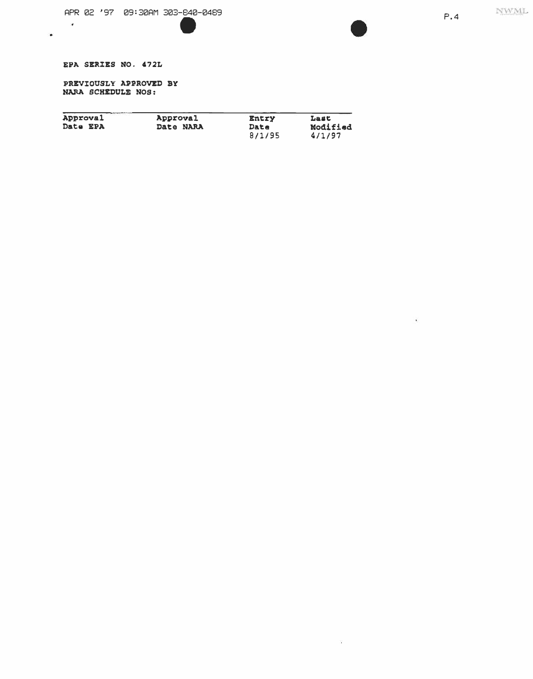$\vec{a}$ 

 $\mathbb{Z}^{\mathbb{N}}$ 

## EPA SERZES NO. 472L

 $\omega$ 

 $\bullet$ 

PREVZ0USLY A�PROVED BY NAAA SCHEDULE NOS:

| Approval | Approval  | Entry          | Last               |
|----------|-----------|----------------|--------------------|
| Date EPA | Date NARA | Date<br>8/1/95 | Modified<br>4/1/97 |

 $\bullet$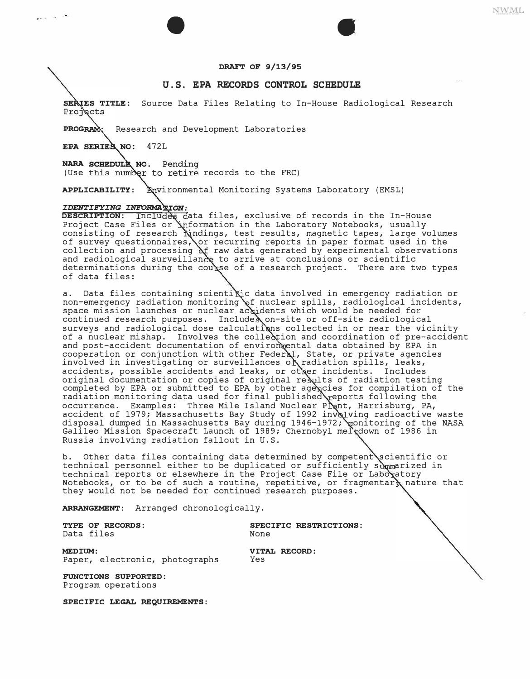#### **DRAFT OF 9/13/95**

 $\bullet$ 

#### **U.S. EPA RECORDS CONTROL SCHEDULE**

SERIES TITLE: Source Data Files Relating to In-House Radiological Research Projects

PROGRAM: Research and Development Laboratories

EPA SERIES NO: 472L

 $\cdots$ 

NARA SCHEDULE NO. Pending (Use this number to retire records to the FRC)

**APPLICABILITY:** Bnvironmental Monitoring Systems Laboratory (EMSL)

#### *IDENTIFYING INFORMA*

**DESCRIPTION:** Includes data files, exclusive of records in the In-House Project Case Files or **Anformation in the Laboratory Notebooks,** usually consisting of research Nindings, test results, magnetic tapes, large volumes of survey questionnaires, or recurring reports in paper format used in the collection and processing of raw data generated by experimental observations and radiological surveillance to arrive at conclusions or scientific determinations during the couxse of a research project. There are two types of data files:

a. Data files containing scientikic data involved in emergency radiation or non-emergency radiation monitoring of nuclear spills, radiological incidents, space mission launches or nuclear accidents which would be needed for continued research purposes. Includes on-site or off-site radiological surveys and radiological dose calculations collected in or near the vicinity of a nuclear mishap. Involves the collection and coordination of pre-accident and post-accident documentation of environ ental data obtained by EPA in cooperation or conjunction with other FederAl, State, or private agencies involved in investigating or surveillances of radiation spills, leaks, accidents, possible accidents and leaks, or other incidents. Includes original documentation or copies of original results of radiation testing completed by EPA or submitted to EPA by other agencies for compilation of the radiation monitoring data used for final published reports following the occurrence. Examples: Three Mile Island Nuclear Prant, Harrisburg, PA, accident of 1979; Massachusetts Bay Study of 1992 invelving radioactive waste disposal dumped in Massachusetts Bay during 1946-1972; monitoring of the NASA Galileo Mission Spacecraft Launch of 1989; Chernobyl meltdown of 1986 in Russia involving radiation fallout in U.S.

b. Other data files containing data determined by competent scientific or technical personnel either to be duplicated or sufficiently summarized in technical reports or elsewhere in the Project Case File or Laboxatory Notebooks, or to be of such a routine, repetitive, or fragmentary nature that they would not be needed for continued research purposes.

**ARRANGEMENT:** Arranged chronologically.

Data files

**TYPE OF RECORDS: SPECIFIC RESTRICTIONS:** 

**MEDIUM: VITAL RECORD:**<br>Paper, electronic, photographs Yes Paper, electronic, photographs

**FUNCTIONS SUPPORTED:**  Program operations

**SPECIFIC LEGAL REQUIREMENTS:** 

**NWML**